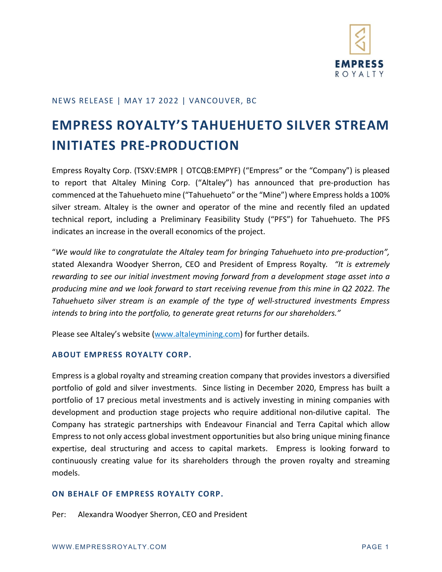

## NEWS RELEASE | MAY 17 2022 | VANCOUVER, BC

## **EMPRESS ROYALTY'S TAHUEHUETO SILVER STREAM INITIATES PRE-PRODUCTION**

Empress Royalty Corp. (TSXV:EMPR | OTCQB:EMPYF) ("Empress" or the "Company") is pleased to report that Altaley Mining Corp. ("Altaley") has announced that pre-production has commenced at the Tahuehueto mine ("Tahuehueto" or the "Mine") where Empress holds a 100% silver stream. Altaley is the owner and operator of the mine and recently filed an updated technical report, including a Preliminary Feasibility Study ("PFS") for Tahuehueto. The PFS indicates an increase in the overall economics of the project.

"*We would like to congratulate the Altaley team for bringing Tahuehueto into pre-production",* stated Alexandra Woodyer Sherron, CEO and President of Empress Royalty*. "It is extremely rewarding to see our initial investment moving forward from a development stage asset into a producing mine and we look forward to start receiving revenue from this mine in Q2 2022. The Tahuehueto silver stream is an example of the type of well-structured investments Empress intends to bring into the portfolio, to generate great returns for our shareholders."* 

Please see Altaley's website [\(www.altaleymining.com\)](http://www.altaleymining.com/) for further details.

## **ABOUT EMPRESS ROYALTY CORP.**

Empress is a global royalty and streaming creation company that provides investors a diversified portfolio of gold and silver investments. Since listing in December 2020, Empress has built a portfolio of 17 precious metal investments and is actively investing in mining companies with development and production stage projects who require additional non-dilutive capital. The Company has strategic partnerships with Endeavour Financial and Terra Capital which allow Empress to not only access global investment opportunities but also bring unique mining finance expertise, deal structuring and access to capital markets. Empress is looking forward to continuously creating value for its shareholders through the proven royalty and streaming models.

## **ON BEHALF OF EMPRESS ROYALTY CORP.**

Per: Alexandra Woodyer Sherron, CEO and President